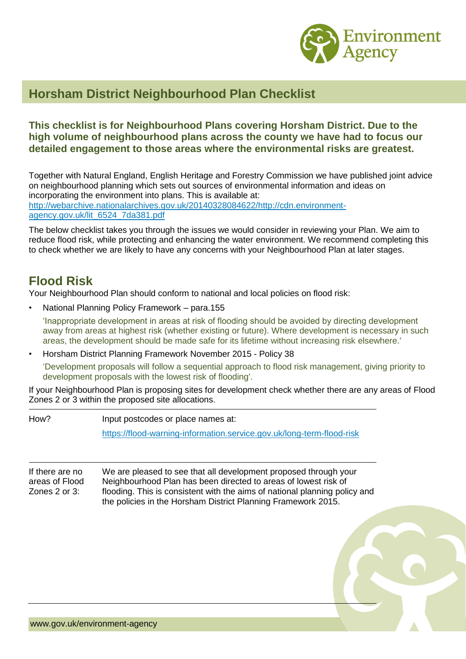

## **Horsham District Neighbourhood Plan Checklist**

#### **This checklist is for Neighbourhood Plans covering Horsham District. Due to the high volume of neighbourhood plans across the county we have had to focus our detailed engagement to those areas where the environmental risks are greatest.**

Together with Natural England, English Heritage and Forestry Commission we have published joint advice on neighbourhood planning which sets out sources of environmental information and ideas on incorporating the environment into plans. This is available at: [http://webarchive.nationalarchives.gov.uk/20140328084622/http://cdn.environment](http://webarchive.nationalarchives.gov.uk/20140328084622/http:/cdn.environment-agency.gov.uk/lit_6524_7da381.pdf)[agency.gov.uk/lit\\_6524\\_7da381.pdf](http://webarchive.nationalarchives.gov.uk/20140328084622/http:/cdn.environment-agency.gov.uk/lit_6524_7da381.pdf)

The below checklist takes you through the issues we would consider in reviewing your Plan. We aim to reduce flood risk, while protecting and enhancing the water environment. We recommend completing this to check whether we are likely to have any concerns with your Neighbourhood Plan at later stages.

# **Flood Risk**

Your Neighbourhood Plan should conform to national and local policies on flood risk:

• National Planning Policy Framework – para.155

'Inappropriate development in areas at risk of flooding should be avoided by directing development away from areas at highest risk (whether existing or future). Where development is necessary in such areas, the development should be made safe for its lifetime without increasing risk elsewhere.'

• Horsham District Planning Framework November 2015 - Policy 38

'Development proposals will follow a sequential approach to flood risk management, giving priority to development proposals with the lowest risk of flooding'.

If your Neighbourhood Plan is proposing sites for development check whether there are any areas of Flood Zones 2 or 3 within the proposed site allocations.

How? Input postcodes or place names at: <https://flood-warning-information.service.gov.uk/long-term-flood-risk>

If there are no areas of Flood Zones 2 or 3: We are pleased to see that all development proposed through your Neighbourhood Plan has been directed to areas of lowest risk of flooding. This is consistent with the aims of national planning policy and the policies in the Horsham District Planning Framework 2015.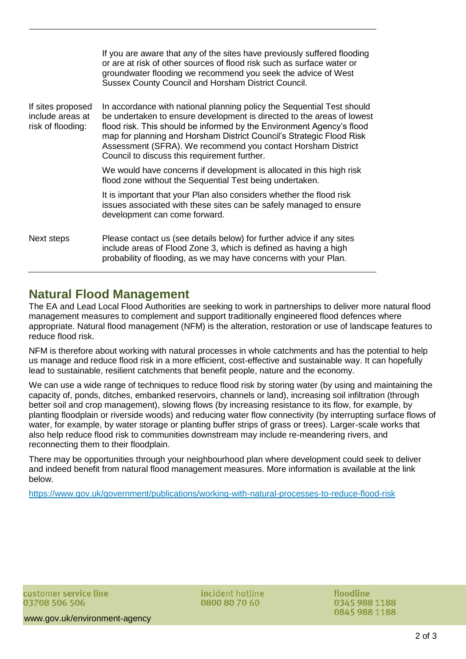|                                                            | If you are aware that any of the sites have previously suffered flooding<br>or are at risk of other sources of flood risk such as surface water or<br>groundwater flooding we recommend you seek the advice of West<br>Sussex County Council and Horsham District Council.                                                                                                                                        |
|------------------------------------------------------------|-------------------------------------------------------------------------------------------------------------------------------------------------------------------------------------------------------------------------------------------------------------------------------------------------------------------------------------------------------------------------------------------------------------------|
| If sites proposed<br>include areas at<br>risk of flooding: | In accordance with national planning policy the Sequential Test should<br>be undertaken to ensure development is directed to the areas of lowest<br>flood risk. This should be informed by the Environment Agency's flood<br>map for planning and Horsham District Council's Strategic Flood Risk<br>Assessment (SFRA). We recommend you contact Horsham District<br>Council to discuss this requirement further. |
|                                                            | We would have concerns if development is allocated in this high risk<br>flood zone without the Sequential Test being undertaken.                                                                                                                                                                                                                                                                                  |
|                                                            | It is important that your Plan also considers whether the flood risk<br>issues associated with these sites can be safely managed to ensure<br>development can come forward.                                                                                                                                                                                                                                       |
| Next steps                                                 | Please contact us (see details below) for further advice if any sites<br>include areas of Flood Zone 3, which is defined as having a high<br>probability of flooding, as we may have concerns with your Plan.                                                                                                                                                                                                     |

### **Natural Flood Management**

The EA and Lead Local Flood Authorities are seeking to work in partnerships to deliver more natural flood management measures to complement and support traditionally engineered flood defences where appropriate. Natural flood management (NFM) is the alteration, restoration or use of landscape features to reduce flood risk.

NFM is therefore about working with natural processes in whole catchments and has the potential to help us manage and reduce flood risk in a more efficient, cost-effective and sustainable way. It can hopefully lead to sustainable, resilient catchments that benefit people, nature and the economy.

We can use a wide range of techniques to reduce flood risk by storing water (by using and maintaining the capacity of, ponds, ditches, embanked reservoirs, channels or land), increasing soil infiltration (through better soil and crop management), slowing flows (by increasing resistance to its flow, for example, by planting floodplain or riverside woods) and reducing water flow connectivity (by interrupting surface flows of water, for example, by water storage or planting buffer strips of grass or trees). Larger-scale works that also help reduce flood risk to communities downstream may include re-meandering rivers, and reconnecting them to their floodplain.

There may be opportunities through your neighbourhood plan where development could seek to deliver and indeed benefit from natural flood management measures. More information is available at the link below.

<https://www.gov.uk/government/publications/working-with-natural-processes-to-reduce-flood-risk>

incident hotline 0800 80 70 60

floodline 0345 988 1188 0845 988 1188

www.gov.uk/environment-agency